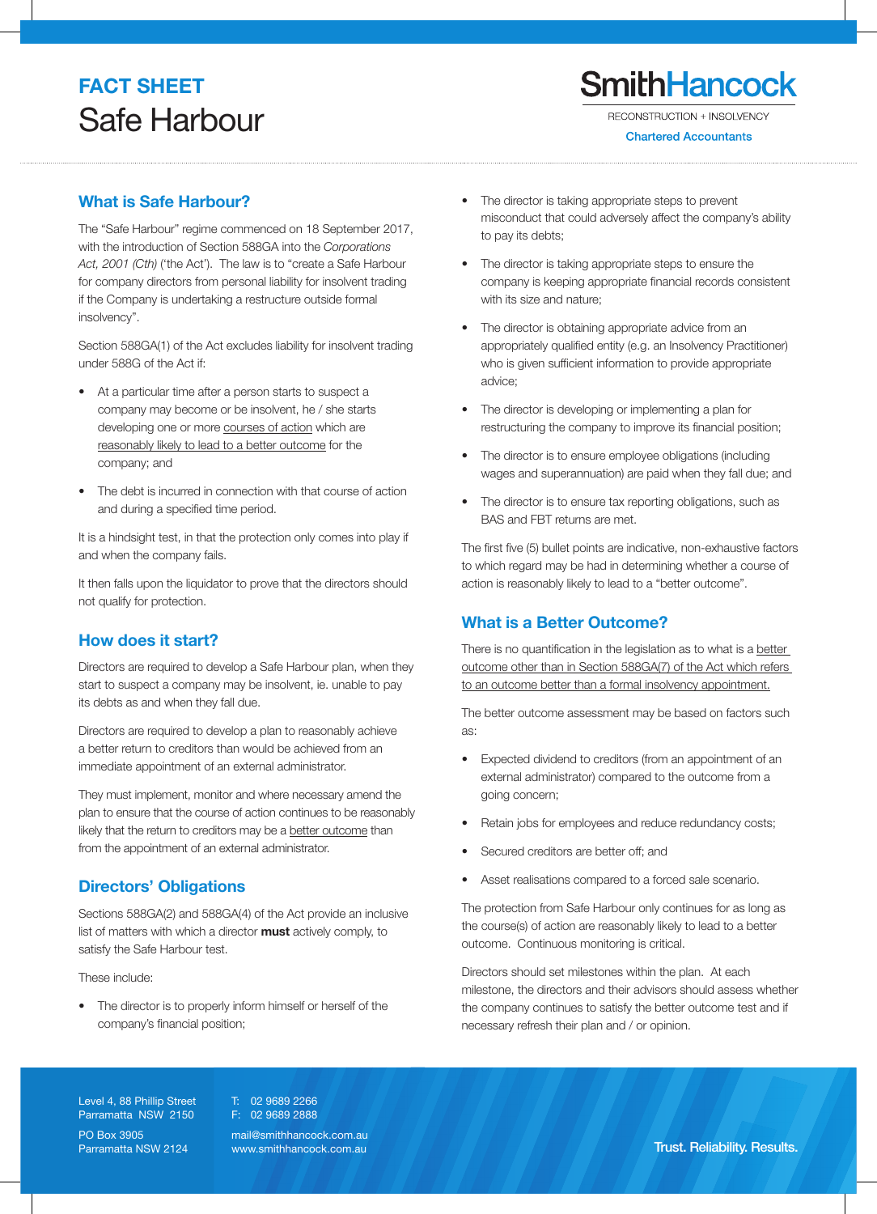# **FACT SHEET** Safe Harbour

**Chartered Accountants** 

# What is Safe Harbour?

The "Safe Harbour" regime commenced on 18 September 2017, with the introduction of Section 588GA into the Corporations Act, 2001 (Cth) ('the Act'). The law is to "create a Safe Harbour for company directors from personal liability for insolvent trading if the Company is undertaking a restructure outside formal insolvency".

Section 588GA(1) of the Act excludes liability for insolvent trading under 588G of the Act if:

- At a particular time after a person starts to suspect a company may become or be insolvent, he / she starts developing one or more courses of action which are reasonably likely to lead to a better outcome for the company; and
- The debt is incurred in connection with that course of action and during a specified time period.

It is a hindsight test, in that the protection only comes into play if and when the company fails.

It then falls upon the liquidator to prove that the directors should not qualify for protection.

### How does it start?

Directors are required to develop a Safe Harbour plan, when they start to suspect a company may be insolvent, ie. unable to pay its debts as and when they fall due.

Directors are required to develop a plan to reasonably achieve a better return to creditors than would be achieved from an immediate appointment of an external administrator.

They must implement, monitor and where necessary amend the plan to ensure that the course of action continues to be reasonably likely that the return to creditors may be a better outcome than from the appointment of an external administrator.

## Directors' Obligations

Sections 588GA(2) and 588GA(4) of the Act provide an inclusive list of matters with which a director **must** actively comply, to satisfy the Safe Harbour test.

These include:

• The director is to properly inform himself or herself of the company's financial position;

- The director is taking appropriate steps to prevent misconduct that could adversely affect the company's ability to pay its debts;
- The director is taking appropriate steps to ensure the company is keeping appropriate financial records consistent with its size and nature;
- The director is obtaining appropriate advice from an appropriately qualified entity (e.g. an Insolvency Practitioner) who is given sufficient information to provide appropriate advice;
- The director is developing or implementing a plan for restructuring the company to improve its financial position;
- The director is to ensure employee obligations (including wages and superannuation) are paid when they fall due; and
- The director is to ensure tax reporting obligations, such as BAS and FBT returns are met.

The first five (5) bullet points are indicative, non-exhaustive factors to which regard may be had in determining whether a course of action is reasonably likely to lead to a "better outcome".

## What is a Better Outcome?

There is no quantification in the legislation as to what is a better outcome other than in Section 588GA(7) of the Act which refers to an outcome better than a formal insolvency appointment.

The better outcome assessment may be based on factors such as:

- Expected dividend to creditors (from an appointment of an external administrator) compared to the outcome from a going concern;
- Retain jobs for employees and reduce redundancy costs;
- Secured creditors are better off; and
- Asset realisations compared to a forced sale scenario.

The protection from Safe Harbour only continues for as long as the course(s) of action are reasonably likely to lead to a better outcome. Continuous monitoring is critical.

Directors should set milestones within the plan. At each milestone, the directors and their advisors should assess whether the company continues to satisfy the better outcome test and if necessary refresh their plan and / or opinion.

Level 4, 88 Phillip Street Parramatta NSW 2150

T: 02 9689 2266 F: 02 9689 2888

PO Box 3905 Parramatta NSW 2124 mail@smithhancock.com.au

www.smithhancock.com.au **Trust. Reliability. Results.**